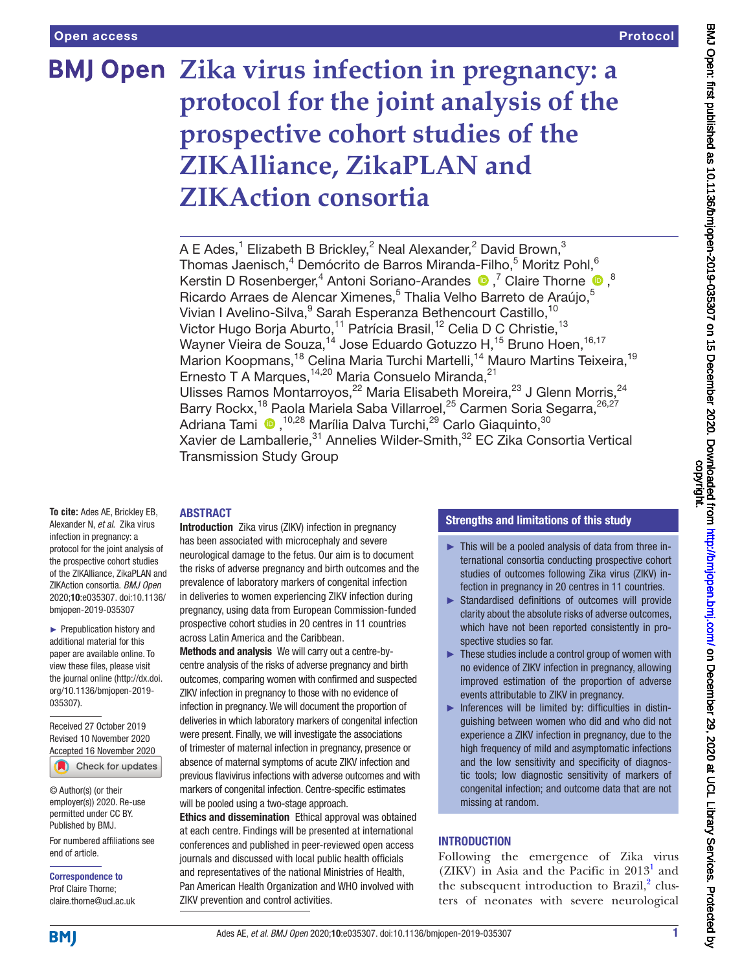# **BMJ Open** Zika virus infection in pregnancy: a **protocol for the joint analysis of the prospective cohort studies of the ZIKAlliance, ZikaPLAN and ZIKAction consortia**

A E Ades, $^1$  Elizabeth B Brickley, $^2$  Neal Alexander, $^2$  David Brown, $^3$ Thomas Jaenisch, $^4$  Demócrito de Barros Miranda-Filho, $^5$  Moritz Pohl, $^6$ KerstinD Rosenberger,<sup>4</sup> Antoni Soriano-Arandes  $\bigcirc$  ,<sup>7</sup> Claire Thorne  $\bigcirc$  ,<sup>8</sup> Ricardo Arraes de Alencar Ximenes,<sup>5</sup> Thalia Velho Barreto de Araújo,<sup>5</sup> Vivian I Avelino-Silva, <sup>9</sup> Sarah Esperanza Bethencourt Castillo, <sup>10</sup> Victor Hugo Borja Aburto,<sup>11</sup> Patrícia Brasil,<sup>12</sup> Celia D C Christie,<sup>13</sup> Wayner Vieira de Souza,<sup>14</sup> Jose Eduardo Gotuzzo H,<sup>15</sup> Bruno Hoen,<sup>16,17</sup> Marion Koopmans,<sup>18</sup> Celina Maria Turchi Martelli,<sup>14</sup> Mauro Martins Teixeira,<sup>19</sup> Ernesto T A Marques,<sup>14,20</sup> Maria Consuelo Miranda,<sup>21</sup> Ulisses Ramos Montarroyos,<sup>22</sup> Maria Elisabeth Moreira,<sup>23</sup> J Glenn Morris,<sup>24</sup> Barry Rockx,<sup>18</sup> Paola Mariela Saba Villarroel,<sup>25</sup> Carmen Soria Segarra, 26,27 AdrianaTami <sup>(10,28</sup> Marília Dalva Turchi,<sup>29</sup> Carlo Giaquinto,<sup>30</sup> Xavier de Lamballerie, 31 Annelies Wilder-Smith, <sup>32</sup> EC Zika Consortia Vertical Transmission Study Group

#### ABSTRACT

**To cite:** Ades AE, Brickley EB, Alexander N, *et al*. Zika virus infection in pregnancy: a protocol for the joint analysis of the prospective cohort studies of the ZIKAlliance, ZikaPLAN and ZIKAction consortia. *BMJ Open* 2020;10:e035307. doi:10.1136/ bmjopen-2019-035307

► Prepublication history and additional material for this paper are available online. To view these files, please visit the journal online (http://dx.doi. org/10.1136/bmjopen-2019- 035307).

Received 27 October 2019 Revised 10 November 2020 [Accepted 16 November 2020](http://crossmark.crossref.org/dialog/?doi=10.1136/bmjopen-2019-035307&domain=pdf&date_stamp=2020-11-15) Check for updates

© Author(s) (or their employer(s)) 2020. Re-use permitted under CC BY. Published by BMJ.

For numbered affiliations see end of article.

Correspondence to Prof Claire Thorne; claire.thorne@ucl.ac.uk

Introduction Zika virus (ZIKV) infection in pregnancy has been associated with microcephaly and severe neurological damage to the fetus. Our aim is to document the risks of adverse pregnancy and birth outcomes and the prevalence of laboratory markers of congenital infection in deliveries to women experiencing ZIKV infection during pregnancy, using data from European Commission-funded prospective cohort studies in 20 centres in 11 countries across Latin America and the Caribbean.

Methods and analysis We will carry out a centre-bycentre analysis of the risks of adverse pregnancy and birth outcomes, comparing women with confirmed and suspected ZIKV infection in pregnancy to those with no evidence of infection in pregnancy. We will document the proportion of deliveries in which laboratory markers of congenital infection were present. Finally, we will investigate the associations of trimester of maternal infection in pregnancy, presence or absence of maternal symptoms of acute ZIKV infection and previous flavivirus infections with adverse outcomes and with markers of congenital infection. Centre-specific estimates will be pooled using a two-stage approach.

Ethics and dissemination Ethical approval was obtained at each centre. Findings will be presented at international conferences and published in peer-reviewed open access journals and discussed with local public health officials and representatives of the national Ministries of Health, Pan American Health Organization and WHO involved with ZIKV prevention and control activities.

#### Strengths and limitations of this study

- ► This will be a pooled analysis of data from three international consortia conducting prospective cohort studies of outcomes following Zika virus (ZIKV) infection in pregnancy in 20 centres in 11 countries.
- ► Standardised definitions of outcomes will provide clarity about the absolute risks of adverse outcomes, which have not been reported consistently in prospective studies so far.
- ► These studies include a control group of women with no evidence of ZIKV infection in pregnancy, allowing improved estimation of the proportion of adverse events attributable to ZIKV in pregnancy.
- ► Inferences will be limited by: difficulties in distinguishing between women who did and who did not experience a ZIKV infection in pregnancy, due to the high frequency of mild and asymptomatic infections and the low sensitivity and specificity of diagnostic tools; low diagnostic sensitivity of markers of congenital infection; and outcome data that are not missing at random.

### INTRODUCTION

Following the emergence of Zika virus (ZIKV) in Asia and the Pacific in  $2013<sup>1</sup>$  $2013<sup>1</sup>$  $2013<sup>1</sup>$  and the subsequent introduction to Brazil, $2$  clusters of neonates with severe neurological

**BMI**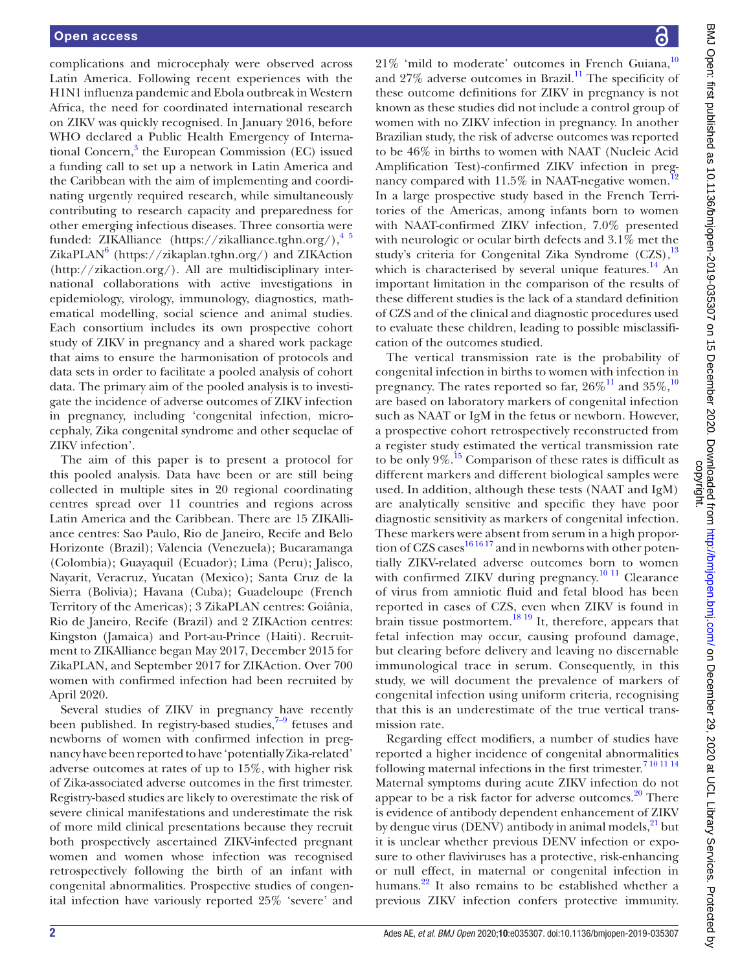complications and microcephaly were observed across Latin America. Following recent experiences with the H1N1 influenza pandemic and Ebola outbreak in Western Africa, the need for coordinated international research on ZIKV was quickly recognised. In January 2016, before WHO declared a Public Health Emergency of International Concern,<sup>3</sup> the European Commission (EC) issued a funding call to set up a network in Latin America and the Caribbean with the aim of implementing and coordinating urgently required research, while simultaneously contributing to research capacity and preparedness for other emerging infectious diseases. Three consortia were funded: ZIKAlliance ([https://zikalliance.tghn.org/\)](https://zikalliance.tghn.org/), $^{4/5}$ ZikaPLAN<sup>[6](#page-8-0)</sup> (<https://zikaplan.tghn.org/>) and ZIKAction ([http://zikaction.org/\)](http://zikaction.org/). All are multidisciplinary international collaborations with active investigations in epidemiology, virology, immunology, diagnostics, mathematical modelling, social science and animal studies. Each consortium includes its own prospective cohort study of ZIKV in pregnancy and a shared work package that aims to ensure the harmonisation of protocols and data sets in order to facilitate a pooled analysis of cohort data. The primary aim of the pooled analysis is to investigate the incidence of adverse outcomes of ZIKV infection in pregnancy, including 'congenital infection, microcephaly, Zika congenital syndrome and other sequelae of ZIKV infection'.

The aim of this paper is to present a protocol for this pooled analysis. Data have been or are still being collected in multiple sites in 20 regional coordinating centres spread over 11 countries and regions across Latin America and the Caribbean. There are 15 ZIKAlliance centres: Sao Paulo, Rio de Janeiro, Recife and Belo Horizonte (Brazil); Valencia (Venezuela); Bucaramanga (Colombia); Guayaquil (Ecuador); Lima (Peru); Jalisco, Nayarit, Veracruz, Yucatan (Mexico); Santa Cruz de la Sierra (Bolivia); Havana (Cuba); Guadeloupe (French Territory of the Americas); 3 ZikaPLAN centres: Goiânia, Rio de Janeiro, Recife (Brazil) and 2 ZIKAction centres: Kingston (Jamaica) and Port-au-Prince (Haiti). Recruitment to ZIKAlliance began May 2017, December 2015 for ZikaPLAN, and September 2017 for ZIKAction. Over 700 women with confirmed infection had been recruited by April 2020.

Several studies of ZIKV in pregnancy have recently been published. In registry-based studies, $7-9$  fetuses and newborns of women with confirmed infection in pregnancy have been reported to have 'potentially Zika-related' adverse outcomes at rates of up to 15%, with higher risk of Zika-associated adverse outcomes in the first trimester. Registry-based studies are likely to overestimate the risk of severe clinical manifestations and underestimate the risk of more mild clinical presentations because they recruit both prospectively ascertained ZIKV-infected pregnant women and women whose infection was recognised retrospectively following the birth of an infant with congenital abnormalities. Prospective studies of congenital infection have variously reported 25% 'severe' and

21% 'mild to moderate' outcomes in French Guiana,[10](#page-8-2) and  $27\%$  adverse outcomes in Brazil.<sup>11</sup> The specificity of these outcome definitions for ZIKV in pregnancy is not known as these studies did not include a control group of women with no ZIKV infection in pregnancy. In another Brazilian study, the risk of adverse outcomes was reported to be 46% in births to women with NAAT (Nucleic Acid Amplification Test)-confirmed ZIKV infection in pregnancy compared with  $11.5\%$  in NAAT-negative women.<sup>1</sup> In a large prospective study based in the French Territories of the Americas, among infants born to women with NAAT-confirmed ZIKV infection, 7.0% presented with neurologic or ocular birth defects and 3.1% met the study's criteria for Congenital Zika Syndrome (CZS),<sup>[13](#page-8-5)</sup> which is characterised by several unique features.<sup>14</sup> An important limitation in the comparison of the results of these different studies is the lack of a standard definition of CZS and of the clinical and diagnostic procedures used to evaluate these children, leading to possible misclassification of the outcomes studied.

The vertical transmission rate is the probability of congenital infection in births to women with infection in pregnancy. The rates reported so far,  $26\%$ <sup>[11](#page-8-3)</sup> and  $35\%$ ,<sup>[10](#page-8-2)</sup> are based on laboratory markers of congenital infection such as NAAT or IgM in the fetus or newborn. However, a prospective cohort retrospectively reconstructed from a register study estimated the vertical transmission rate to be only  $9\%$ .<sup>15</sup> Comparison of these rates is difficult as different markers and different biological samples were used. In addition, although these tests (NAAT and IgM) are analytically sensitive and specific they have poor diagnostic sensitivity as markers of congenital infection. These markers were absent from serum in a high proportion of CZS cases<sup>161617</sup> and in newborns with other potentially ZIKV-related adverse outcomes born to women with confirmed ZIKV during pregnancy.<sup>[10 11](#page-8-2)</sup> Clearance of virus from amniotic fluid and fetal blood has been reported in cases of CZS, even when ZIKV is found in brain tissue postmortem.<sup>[18 19](#page-8-9)</sup> It, therefore, appears that fetal infection may occur, causing profound damage, but clearing before delivery and leaving no discernable immunological trace in serum. Consequently, in this study, we will document the prevalence of markers of congenital infection using uniform criteria, recognising that this is an underestimate of the true vertical transmission rate.

Regarding effect modifiers, a number of studies have reported a higher incidence of congenital abnormalities following maternal infections in the first trimester.<sup>[7 10 11 14](#page-8-1)</sup> Maternal symptoms during acute ZIKV infection do not appear to be a risk factor for adverse outcomes. $20$  There is evidence of antibody dependent enhancement of ZIKV by dengue virus (DENV) antibody in animal models, <sup>21</sup> but it is unclear whether previous DENV infection or exposure to other flaviviruses has a protective, risk-enhancing or null effect, in maternal or congenital infection in humans.<sup>[22](#page-8-12)</sup> It also remains to be established whether a previous ZIKV infection confers protective immunity.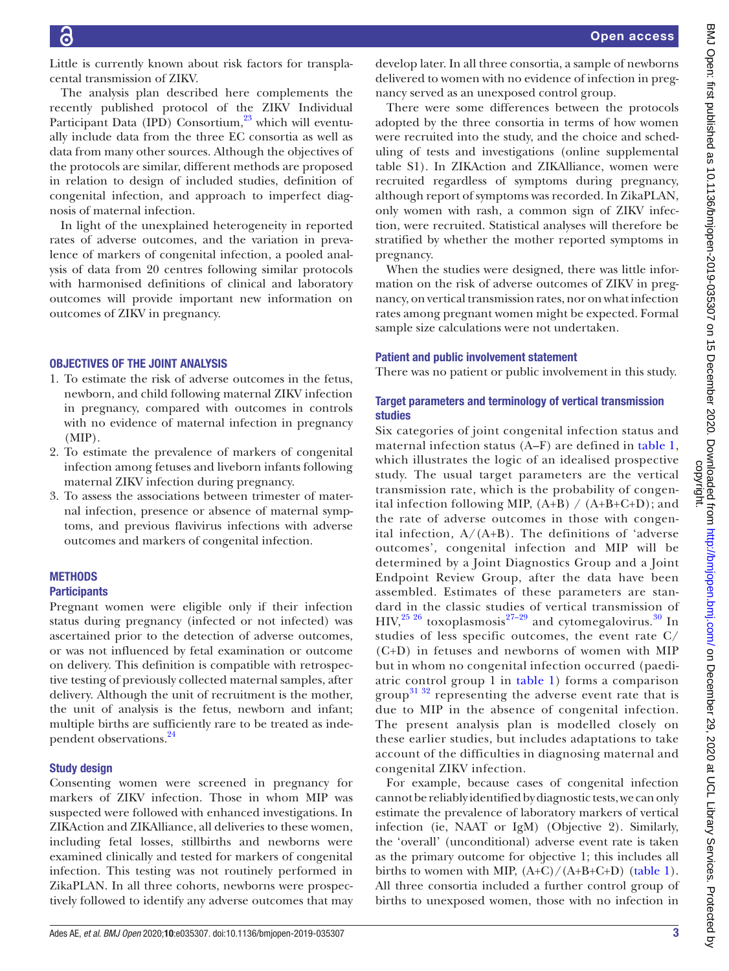Little is currently known about risk factors for transplacental transmission of ZIKV.

The analysis plan described here complements the recently published protocol of the ZIKV Individual Participant Data (IPD) Consortium,<sup>23</sup> which will eventually include data from the three EC consortia as well as data from many other sources. Although the objectives of the protocols are similar, different methods are proposed in relation to design of included studies, definition of congenital infection, and approach to imperfect diagnosis of maternal infection.

In light of the unexplained heterogeneity in reported rates of adverse outcomes, and the variation in prevalence of markers of congenital infection, a pooled analysis of data from 20 centres following similar protocols with harmonised definitions of clinical and laboratory outcomes will provide important new information on outcomes of ZIKV in pregnancy.

#### OBJECTIVES OF THE JOINT ANALYSIS

- 1. To estimate the risk of adverse outcomes in the fetus, newborn, and child following maternal ZIKV infection in pregnancy, compared with outcomes in controls with no evidence of maternal infection in pregnancy  $(MIP)$ .
- 2. To estimate the prevalence of markers of congenital infection among fetuses and liveborn infants following maternal ZIKV infection during pregnancy.
- 3. To assess the associations between trimester of maternal infection, presence or absence of maternal symptoms, and previous flavivirus infections with adverse outcomes and markers of congenital infection.

## **METHODS**

#### **Participants**

Pregnant women were eligible only if their infection status during pregnancy (infected or not infected) was ascertained prior to the detection of adverse outcomes, or was not influenced by fetal examination or outcome on delivery. This definition is compatible with retrospective testing of previously collected maternal samples, after delivery. Although the unit of recruitment is the mother, the unit of analysis is the fetus, newborn and infant; multiple births are sufficiently rare to be treated as inde-pendent observations.<sup>[24](#page-8-14)</sup>

### Study design

Consenting women were screened in pregnancy for markers of ZIKV infection. Those in whom MIP was suspected were followed with enhanced investigations. In ZIKAction and ZIKAlliance, all deliveries to these women, including fetal losses, stillbirths and newborns were examined clinically and tested for markers of congenital infection. This testing was not routinely performed in ZikaPLAN. In all three cohorts, newborns were prospectively followed to identify any adverse outcomes that may develop later. In all three consortia, a sample of newborns delivered to women with no evidence of infection in pregnancy served as an unexposed control group.

There were some differences between the protocols adopted by the three consortia in terms of how women were recruited into the study, and the choice and scheduling of tests and investigations [\(online supplemental](https://dx.doi.org/10.1136/bmjopen-2019-035307)  [table S1](https://dx.doi.org/10.1136/bmjopen-2019-035307)). In ZIKAction and ZIKAlliance, women were recruited regardless of symptoms during pregnancy, although report of symptoms was recorded. In ZikaPLAN, only women with rash, a common sign of ZIKV infection, were recruited. Statistical analyses will therefore be stratified by whether the mother reported symptoms in pregnancy.

When the studies were designed, there was little information on the risk of adverse outcomes of ZIKV in pregnancy, on vertical transmission rates, nor on what infection rates among pregnant women might be expected. Formal sample size calculations were not undertaken.

#### Patient and public involvement statement

There was no patient or public involvement in this study.

### Target parameters and terminology of vertical transmission studies

Six categories of joint congenital infection status and maternal infection status (A–F) are defined in [table](#page-3-0) 1, which illustrates the logic of an idealised prospective study. The usual target parameters are the vertical transmission rate, which is the probability of congenital infection following MIP,  $(A+B) / (A+B+C+D)$ ; and the rate of adverse outcomes in those with congenital infection*,* A/(A+B). The definitions of 'adverse outcomes', congenital infection and MIP will be determined by a Joint Diagnostics Group and a Joint Endpoint Review Group, after the data have been assembled. Estimates of these parameters are standard in the classic studies of vertical transmission of HIV,<sup>[25 26](#page-8-15)</sup> toxoplasmosis<sup>27-29</sup> and cytomegalovirus.<sup>[30](#page-8-17)</sup> In studies of less specific outcomes, the event rate C/ (C+D) in fetuses and newborns of women with MIP but in whom no congenital infection occurred (paediatric control group 1 in [table](#page-3-0) 1) forms a comparison group<sup>31 32</sup> representing the adverse event rate that is due to MIP in the absence of congenital infection. The present analysis plan is modelled closely on these earlier studies, but includes adaptations to take account of the difficulties in diagnosing maternal and congenital ZIKV infection.

For example, because cases of congenital infection cannot be reliably identified by diagnostic tests, we can only estimate the prevalence of laboratory markers of vertical infection (ie, NAAT or IgM) (Objective 2). Similarly, the 'overall' (unconditional) adverse event rate is taken as the primary outcome for objective 1; this includes all births to women with MIP,  $(A+C)/(A+B+C+D)$  [\(table](#page-3-0) 1). All three consortia included a further control group of births to unexposed women, those with no infection in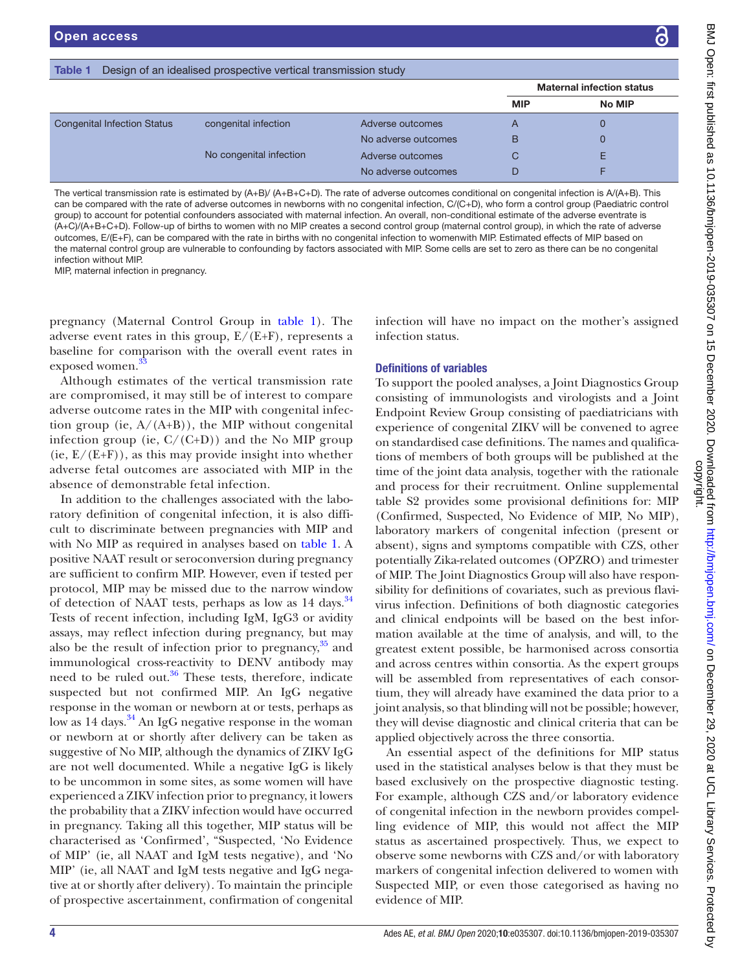|  | <b>Table 1</b> Design of an idealised prospective vertical transmission study |  |
|--|-------------------------------------------------------------------------------|--|

<span id="page-3-0"></span>

|                         |                     |            | <b>Maternal infection status</b> |
|-------------------------|---------------------|------------|----------------------------------|
|                         |                     | <b>MIP</b> | No MIP                           |
| congenital infection    | Adverse outcomes    | A          |                                  |
|                         | No adverse outcomes | В          |                                  |
| No congenital infection | Adverse outcomes    | C          |                                  |
|                         | No adverse outcomes | D          |                                  |
|                         |                     |            |                                  |

The vertical transmission rate is estimated by (A+B)/ (A+B+C+D). The rate of adverse outcomes conditional on congenital infection is A/(A+B). This can be compared with the rate of adverse outcomes in newborns with no congenital infection, C/(C+D), who form a control group (Paediatric control group) to account for potential confounders associated with maternal infection. An overall, non-conditional estimate of the adverse eventrate is (A+C)/(A+B+C+D). Follow-up of births to women with no MIP creates a second control group (maternal control group), in which the rate of adverse outcomes, E/(E+F), can be compared with the rate in births with no congenital infection to womenwith MIP. Estimated effects of MIP based on the maternal control group are vulnerable to confounding by factors associated with MIP. Some cells are set to zero as there can be no congenital infection without MIP.

MIP, maternal infection in pregnancy.

pregnancy (Maternal Control Group in [table](#page-3-0) 1). The adverse event rates in this group,  $E/(E+F)$ , represents a baseline for comparison with the overall event rates in exposed women.<sup>3</sup>

Although estimates of the vertical transmission rate are compromised, it may still be of interest to compare adverse outcome rates in the MIP with congenital infection group (ie, A/(A+B)), the MIP without congenital infection group (ie,  $C/(C+D)$ ) and the No MIP group  $(ie, E/(E+F))$ , as this may provide insight into whether adverse fetal outcomes are associated with MIP in the absence of demonstrable fetal infection.

In addition to the challenges associated with the laboratory definition of congenital infection, it is also difficult to discriminate between pregnancies with MIP and with No MIP as required in analyses based on [table](#page-3-0) 1. A positive NAAT result or seroconversion during pregnancy are sufficient to confirm MIP. However, even if tested per protocol*,* MIP may be missed due to the narrow window of detection of NAAT tests, perhaps as low as 14 days.<sup>34</sup> Tests of recent infection, including IgM, IgG3 or avidity assays, may reflect infection during pregnancy, but may also be the result of infection prior to pregnancy, $35$  and immunological cross-reactivity to DENV antibody may need to be ruled out. $36$  These tests, therefore, indicate suspected but not confirmed MIP. An IgG negative response in the woman or newborn at or tests, perhaps as low as  $14 \text{ days}$ .<sup>34</sup> An IgG negative response in the woman or newborn at or shortly after delivery can be taken as suggestive of No MIP, although the dynamics of ZIKV IgG are not well documented. While a negative IgG is likely to be uncommon in some sites, as some women will have experienced a ZIKV infection prior to pregnancy, it lowers the probability that a ZIKV infection would have occurred in pregnancy. Taking all this together, MIP status will be characterised as 'Confirmed', "Suspected, 'No Evidence of MIP' (ie, all NAAT and IgM tests negative), and 'No MIP' (ie, all NAAT and IgM tests negative and IgG negative at or shortly after delivery). To maintain the principle of prospective ascertainment, confirmation of congenital

infection will have no impact on the mother's assigned infection status.

#### Definitions of variables

To support the pooled analyses, a Joint Diagnostics Group consisting of immunologists and virologists and a Joint Endpoint Review Group consisting of paediatricians with experience of congenital ZIKV will be convened to agree on standardised case definitions. The names and qualifications of members of both groups will be published at the time of the joint data analysis, together with the rationale and process for their recruitment. [Online supplemental](https://dx.doi.org/10.1136/bmjopen-2019-035307)  [table S2](https://dx.doi.org/10.1136/bmjopen-2019-035307) provides some provisional definitions for: MIP (Confirmed, Suspected, No Evidence of MIP, No MIP), laboratory markers of congenital infection (present or absent), signs and symptoms compatible with CZS, other potentially Zika-related outcomes (OPZRO) and trimester of MIP. The Joint Diagnostics Group will also have responsibility for definitions of covariates, such as previous flavivirus infection. Definitions of both diagnostic categories and clinical endpoints will be based on the best information available at the time of analysis, and will, to the greatest extent possible, be harmonised across consortia and across centres within consortia. As the expert groups will be assembled from representatives of each consortium, they will already have examined the data prior to a joint analysis, so that blinding will not be possible; however, they will devise diagnostic and clinical criteria that can be applied objectively across the three consortia.

An essential aspect of the definitions for MIP status used in the statistical analyses below is that they must be based exclusively on the prospective diagnostic testing. For example, although CZS and/or laboratory evidence of congenital infection in the newborn provides compelling evidence of MIP, this would not affect the MIP status as ascertained prospectively. Thus, we expect to observe some newborns with CZS and/or with laboratory markers of congenital infection delivered to women with Suspected MIP, or even those categorised as having no evidence of MIP.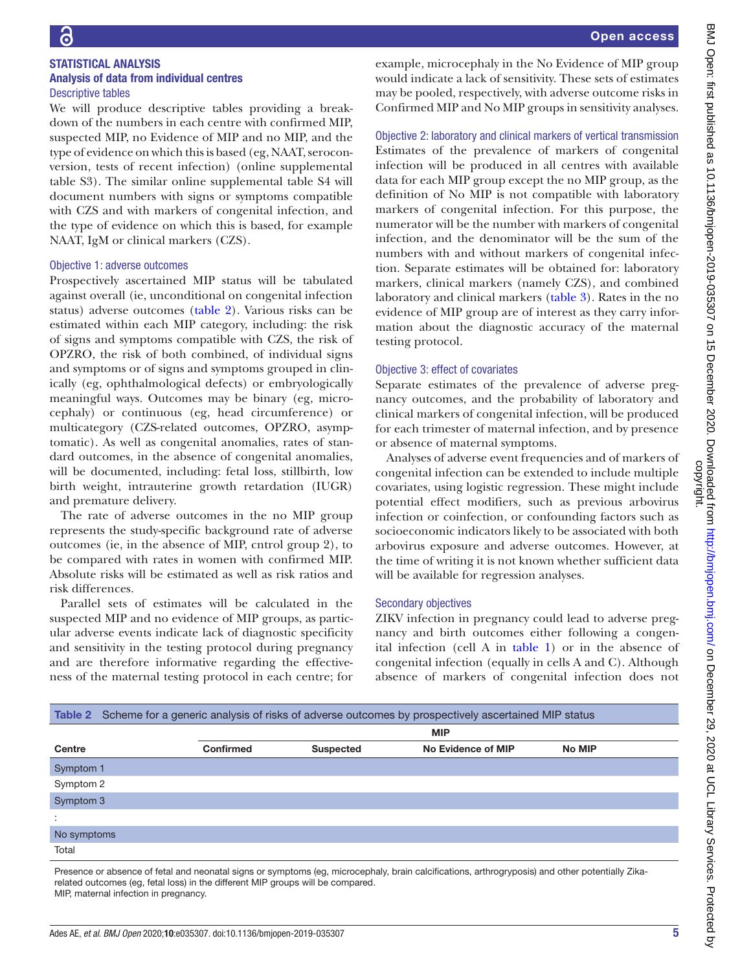#### STATISTICAL ANALYSIS Analysis of data from individual centres Descriptive tables

We will produce descriptive tables providing a breakdown of the numbers in each centre with confirmed MIP, suspected MIP, no Evidence of MIP and no MIP, and the type of evidence on which this is based (eg, NAAT, seroconversion, tests of recent infection) [\(online supplemental](https://dx.doi.org/10.1136/bmjopen-2019-035307) [table S3\)](https://dx.doi.org/10.1136/bmjopen-2019-035307). The similar [online supplemental table S4](https://dx.doi.org/10.1136/bmjopen-2019-035307) will document numbers with signs or symptoms compatible with CZS and with markers of congenital infection, and the type of evidence on which this is based, for example NAAT, IgM or clinical markers (CZS).

#### Objective 1: adverse outcomes

Prospectively ascertained MIP status will be tabulated against overall (ie, unconditional on congenital infection status) adverse outcomes ([table](#page-4-0) 2). Various risks can be estimated within each MIP category, including: the risk of signs and symptoms compatible with CZS, the risk of OPZRO, the risk of both combined, of individual signs and symptoms or of signs and symptoms grouped in clinically (eg, ophthalmological defects) or embryologically meaningful ways. Outcomes may be binary (eg, microcephaly) or continuous (eg, head circumference) or multicategory (CZS-related outcomes, OPZRO, asymptomatic). As well as congenital anomalies, rates of standard outcomes, in the absence of congenital anomalies, will be documented, including: fetal loss, stillbirth, low birth weight, intrauterine growth retardation (IUGR) and premature delivery.

The rate of adverse outcomes in the no MIP group represents the study-specific background rate of adverse outcomes (ie, in the absence of MIP, cntrol group 2), to be compared with rates in women with confirmed MIP. Absolute risks will be estimated as well as risk ratios and risk differences.

Parallel sets of estimates will be calculated in the suspected MIP and no evidence of MIP groups, as particular adverse events indicate lack of diagnostic specificity and sensitivity in the testing protocol during pregnancy and are therefore informative regarding the effectiveness of the maternal testing protocol in each centre; for

example, microcephaly in the No Evidence of MIP group would indicate a lack of sensitivity. These sets of estimates may be pooled, respectively, with adverse outcome risks in Confirmed MIP and No MIP groups in sensitivity analyses.

#### Objective 2: laboratory and clinical markers of vertical transmission

Estimates of the prevalence of markers of congenital infection will be produced in all centres with available data for each MIP group except the no MIP group, as the definition of No MIP is not compatible with laboratory markers of congenital infection. For this purpose, the numerator will be the number with markers of congenital infection, and the denominator will be the sum of the numbers with and without markers of congenital infection. Separate estimates will be obtained for: laboratory markers, clinical markers (namely CZS), and combined laboratory and clinical markers ([table](#page-5-0) 3). Rates in the no evidence of MIP group are of interest as they carry information about the diagnostic accuracy of the maternal testing protocol.

#### Objective 3: effect of covariates

Separate estimates of the prevalence of adverse pregnancy outcomes, and the probability of laboratory and clinical markers of congenital infection, will be produced for each trimester of maternal infection, and by presence or absence of maternal symptoms.

Analyses of adverse event frequencies and of markers of congenital infection can be extended to include multiple covariates, using logistic regression. These might include potential effect modifiers*,* such as previous arbovirus infection or coinfection, or confounding factors such as socioeconomic indicators likely to be associated with both arbovirus exposure and adverse outcomes. However, at the time of writing it is not known whether sufficient data will be available for regression analyses.

#### Secondary objectives

ZIKV infection in pregnancy could lead to adverse pregnancy and birth outcomes either following a congenital infection (cell A in [table](#page-3-0) 1) or in the absence of congenital infection (equally in cells A and C). Although absence of markers of congenital infection does not

<span id="page-4-0"></span>

|                                                                                                                                                 | Table 2 Scheme for a generic analysis of risks of adverse outcomes by prospectively ascertained MIP status |                  |                    |               |  |  |  |  |
|-------------------------------------------------------------------------------------------------------------------------------------------------|------------------------------------------------------------------------------------------------------------|------------------|--------------------|---------------|--|--|--|--|
|                                                                                                                                                 | <b>MIP</b>                                                                                                 |                  |                    |               |  |  |  |  |
| Centre                                                                                                                                          | <b>Confirmed</b>                                                                                           | <b>Suspected</b> | No Evidence of MIP | <b>No MIP</b> |  |  |  |  |
| Symptom 1                                                                                                                                       |                                                                                                            |                  |                    |               |  |  |  |  |
| Symptom 2                                                                                                                                       |                                                                                                            |                  |                    |               |  |  |  |  |
| Symptom 3                                                                                                                                       |                                                                                                            |                  |                    |               |  |  |  |  |
| ÷                                                                                                                                               |                                                                                                            |                  |                    |               |  |  |  |  |
| No symptoms                                                                                                                                     |                                                                                                            |                  |                    |               |  |  |  |  |
| Total                                                                                                                                           |                                                                                                            |                  |                    |               |  |  |  |  |
| Processor at absorped of fatal and poopetal signs ar symptoms (ag migroscophaly broin oploitiontions, arthrogynosis) and athor patentially Zike |                                                                                                            |                  |                    |               |  |  |  |  |

ce or absence of fetal and neonatal signs or symptoms (eg, microcephaly, brain calcifications, arthrogryposis) and other potentially Zika related outcomes (eg, fetal loss) in the different MIP groups will be compared. MIP, maternal infection in pregnancy.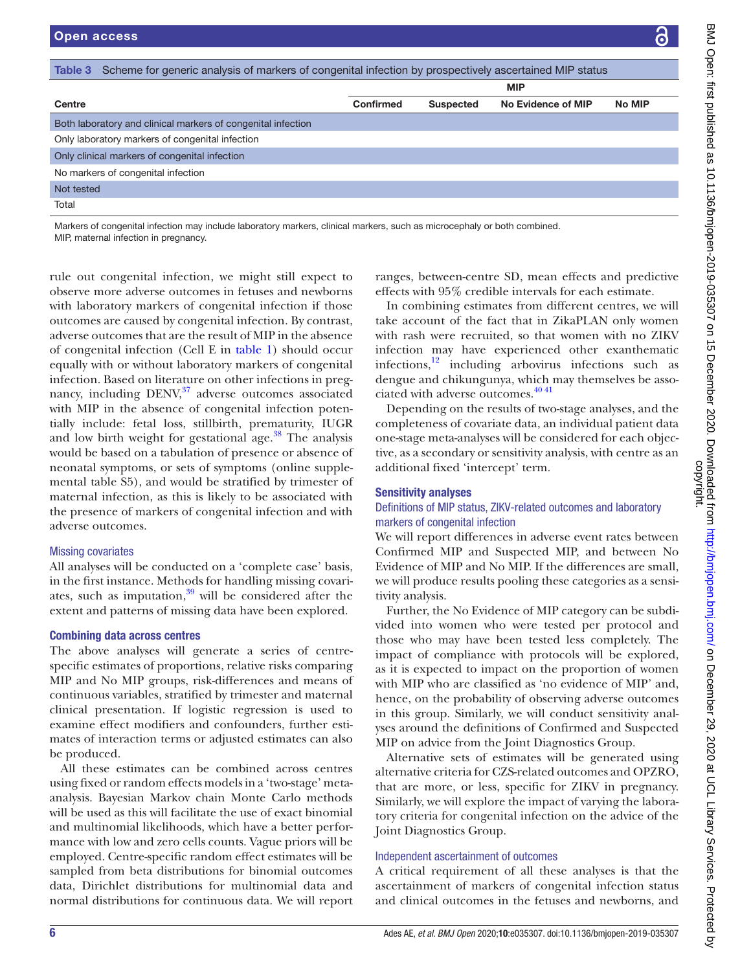<span id="page-5-0"></span>

| Scheme for generic analysis of markers of congenital infection by prospectively ascertained MIP status<br>Table 3        |           |                  |                    |               |  |  |  |
|--------------------------------------------------------------------------------------------------------------------------|-----------|------------------|--------------------|---------------|--|--|--|
|                                                                                                                          |           |                  | <b>MIP</b>         |               |  |  |  |
| Centre                                                                                                                   | Confirmed | <b>Suspected</b> | No Evidence of MIP | <b>No MIP</b> |  |  |  |
| Both laboratory and clinical markers of congenital infection                                                             |           |                  |                    |               |  |  |  |
| Only laboratory markers of congenital infection                                                                          |           |                  |                    |               |  |  |  |
| Only clinical markers of congenital infection                                                                            |           |                  |                    |               |  |  |  |
| No markers of congenital infection                                                                                       |           |                  |                    |               |  |  |  |
| Not tested                                                                                                               |           |                  |                    |               |  |  |  |
| Total                                                                                                                    |           |                  |                    |               |  |  |  |
| Markers of congenital infection may include laboratory markers, clinical markers, such as microcephaly or both combined. |           |                  |                    |               |  |  |  |

MIP, maternal infection in pregnancy.

rule out congenital infection, we might still expect to observe more adverse outcomes in fetuses and newborns with laboratory markers of congenital infection if those outcomes are caused by congenital infection. By contrast, adverse outcomes that are the result of MIP in the absence of congenital infection (Cell E in [table](#page-3-0) 1) should occur equally with or without laboratory markers of congenital infection. Based on literature on other infections in pregnancy, including DENV,<sup>37</sup> adverse outcomes associated with MIP in the absence of congenital infection potentially include: fetal loss, stillbirth, prematurity, IUGR and low birth weight for gestational age. $38$  The analysis would be based on a tabulation of presence or absence of neonatal symptoms, or sets of symptoms ([online supple](https://dx.doi.org/10.1136/bmjopen-2019-035307)[mental table S5](https://dx.doi.org/10.1136/bmjopen-2019-035307)), and would be stratified by trimester of maternal infection, as this is likely to be associated with the presence of markers of congenital infection and with adverse outcomes.

#### Missing covariates

All analyses will be conducted on a 'complete case' basis, in the first instance. Methods for handling missing covariates, such as imputation, $39$  will be considered after the extent and patterns of missing data have been explored.

#### Combining data across centres

The above analyses will generate a series of centrespecific estimates of proportions, relative risks comparing MIP and No MIP groups, risk-differences and means of continuous variables, stratified by trimester and maternal clinical presentation. If logistic regression is used to examine effect modifiers and confounders, further estimates of interaction terms or adjusted estimates can also be produced.

All these estimates can be combined across centres using fixed or random effects models in a 'two-stage' metaanalysis. Bayesian Markov chain Monte Carlo methods will be used as this will facilitate the use of exact binomial and multinomial likelihoods, which have a better performance with low and zero cells counts. Vague priors will be employed. Centre-specific random effect estimates will be sampled from beta distributions for binomial outcomes data, Dirichlet distributions for multinomial data and normal distributions for continuous data. We will report

ranges, between-centre SD, mean effects and predictive effects with 95% credible intervals for each estimate.

In combining estimates from different centres, we will take account of the fact that in ZikaPLAN only women with rash were recruited, so that women with no ZIKV infection may have experienced other exanthematic infections,[12](#page-8-4) including arbovirus infections such as dengue and chikungunya, which may themselves be associated with adverse outcomes[.40 41](#page-8-26)

Depending on the results of two-stage analyses, and the completeness of covariate data, an individual patient data one-stage meta-analyses will be considered for each objective, as a secondary or sensitivity analysis, with centre as an additional fixed 'intercept' term.

#### Sensitivity analyses

#### Definitions of MIP status, ZIKV-related outcomes and laboratory markers of congenital infection

We will report differences in adverse event rates between Confirmed MIP and Suspected MIP, and between No Evidence of MIP and No MIP. If the differences are small, we will produce results pooling these categories as a sensitivity analysis.

Further, the No Evidence of MIP category can be subdivided into women who were tested per protocol and those who may have been tested less completely. The impact of compliance with protocols will be explored, as it is expected to impact on the proportion of women with MIP who are classified as 'no evidence of MIP' and, hence, on the probability of observing adverse outcomes in this group. Similarly, we will conduct sensitivity analyses around the definitions of Confirmed and Suspected MIP on advice from the Joint Diagnostics Group.

Alternative sets of estimates will be generated using alternative criteria for CZS-related outcomes and OPZRO, that are more, or less, specific for ZIKV in pregnancy. Similarly, we will explore the impact of varying the laboratory criteria for congenital infection on the advice of the Joint Diagnostics Group.

#### Independent ascertainment of outcomes

A critical requirement of all these analyses is that the ascertainment of markers of congenital infection status and clinical outcomes in the fetuses and newborns, and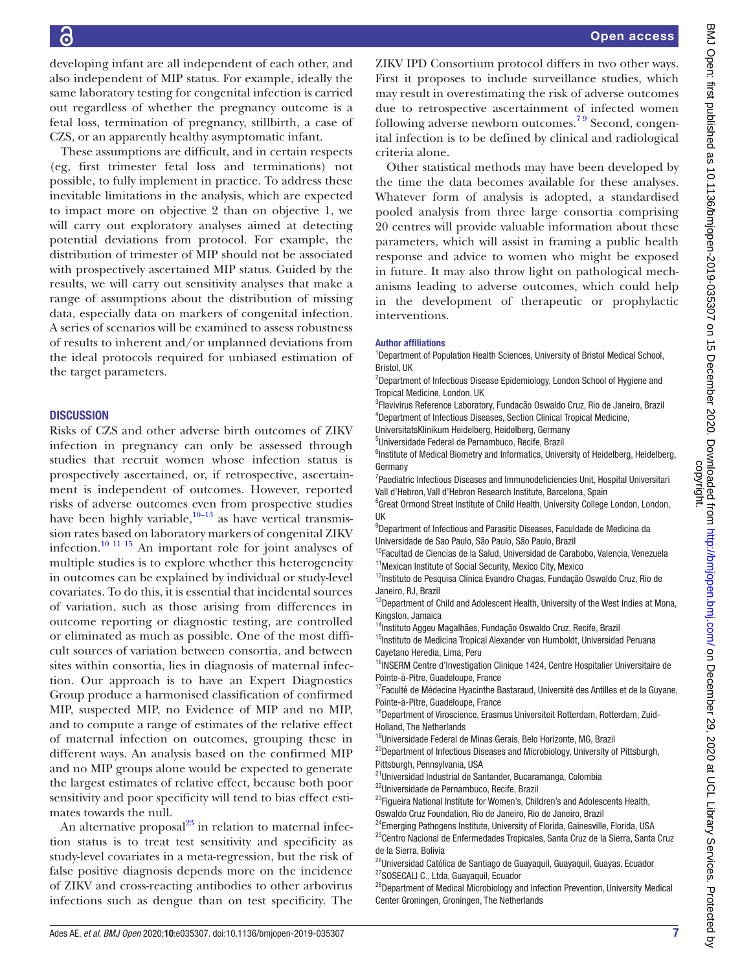developing infant are all independent of each other, and also independent of MIP status. For example, ideally the same laboratory testing for congenital infection is carried out regardless of whether the pregnancy outcome is a fetal loss, termination of pregnancy, stillbirth, a case of CZS, or an apparently healthy asymptomatic infant.

These assumptions are difficult, and in certain respects (eg, first trimester fetal loss and terminations) not possible, to fully implement in practice. To address these inevitable limitations in the analysis, which are expected to impact more on objective 2 than on objective 1, we will carry out exploratory analyses aimed at detecting potential deviations from protocol. For example, the distribution of trimester of MIP should not be associated with prospectively ascertained MIP status. Guided by the results, we will carry out sensitivity analyses that make a range of assumptions about the distribution of missing data, especially data on markers of congenital infection. A series of scenarios will be examined to assess robustness of results to inherent and/or unplanned deviations from the ideal protocols required for unbiased estimation of the target parameters.

#### **DISCUSSION**

Risks of CZS and other adverse birth outcomes of ZIKV infection in pregnancy can only be assessed through studies that recruit women whose infection status is prospectively ascertained, or, if retrospective, ascertainment is independent of outcomes. However, reported risks of adverse outcomes even from prospective studies have been highly variable, $10-13$  as have vertical transmission rates based on laboratory markers of congenital ZIKV infection[.10 11 15](#page-8-2) An important role for joint analyses of multiple studies is to explore whether this heterogeneity in outcomes can be explained by individual or study-level covariates. To do this, it is essential that incidental sources of variation, such as those arising from differences in outcome reporting or diagnostic testing, are controlled or eliminated as much as possible. One of the most difficult sources of variation between consortia, and between sites within consortia, lies in diagnosis of maternal infection. Our approach is to have an Expert Diagnostics Group produce a harmonised classification of confirmed MIP, suspected MIP, no Evidence of MIP and no MIP, and to compute a range of estimates of the relative effect of maternal infection on outcomes, grouping these in different ways. An analysis based on the confirmed MIP and no MIP groups alone would be expected to generate the largest estimates of relative effect, because both poor sensitivity and poor specificity will tend to bias effect estimates towards the null.

An alternative proposal $^{23}$  in relation to maternal infection status is to treat test sensitivity and specificity as study-level covariates in a meta-regression, but the risk of false positive diagnosis depends more on the incidence of ZIKV and cross-reacting antibodies to other arbovirus infections such as dengue than on test specificity. The

ZIKV IPD Consortium protocol differs in two other ways. First it proposes to include surveillance studies, which may result in overestimating the risk of adverse outcomes due to retrospective ascertainment of infected women following adverse newborn outcomes.<sup>79</sup> Second, congenital infection is to be defined by clinical and radiological criteria alone.

Other statistical methods may have been developed by the time the data becomes available for these analyses. Whatever form of analysis is adopted, a standardised pooled analysis from three large consortia comprising 20 centres will provide valuable information about these parameters, which will assist in framing a public health response and advice to women who might be exposed in future. It may also throw light on pathological mechanisms leading to adverse outcomes, which could help in the development of therapeutic or prophylactic interventions.

#### Author affiliations

<sup>1</sup>Department of Population Health Sciences, University of Bristol Medical School, Bristol, UK

<sup>2</sup>Department of Infectious Disease Epidemiology, London School of Hygiene and Tropical Medicine, London, UK

<sup>3</sup>Flavivirus Reference Laboratory, Fundacão Oswaldo Cruz, Rio de Janeiro, Brazil 4 Department of Infectious Diseases, Section Clinical Tropical Medicine,

UniversitatsKlinikum Heidelberg, Heidelberg, Germany

5 Universidade Federal de Pernambuco, Recife, Brazil

<sup>6</sup>Institute of Medical Biometry and Informatics, University of Heidelberg, Heidelberg, Germany

<sup>7</sup> Paediatric Infectious Diseases and Immunodeficiencies Unit, Hospital Universitari Vall d'Hebron, Vall d'Hebron Research Institute, Barcelona, Spain

<sup>8</sup> Great Ormond Street Institute of Child Health, University College London, London, UK

<sup>9</sup>Department of Infectious and Parasitic Diseases, Faculdade de Medicina da Universidade de Sao Paulo, São Paulo, São Paulo, Brazil

<sup>10</sup>Facultad de Ciencias de la Salud, Universidad de Carabobo, Valencia, Venezuela <sup>11</sup> Mexican Institute of Social Security, Mexico City, Mexico

<sup>12</sup>Instituto de Pesquisa Clínica Evandro Chagas, Fundação Oswaldo Cruz, Rio de Janeiro, RJ, Brazil

<sup>13</sup>Department of Child and Adolescent Health, University of the West Indies at Mona, Kingston, Jamaica

<sup>14</sup>Instituto Aggeu Magalhães, Fundação Oswaldo Cruz, Recife, Brazil

<sup>15</sup>Instituto de Medicina Tropical Alexander von Humboldt, Universidad Peruana Cayetano Heredia, Lima, Peru

<sup>16</sup>INSERM Centre d'Investigation Clinique 1424, Centre Hospitalier Universitaire de Pointe-à-Pitre, Guadeloupe, France

<sup>17</sup>Faculté de Médecine Hyacinthe Bastaraud, Université des Antilles et de la Guyane, Pointe-à-Pitre, Guadeloupe, France

<sup>18</sup>Department of Viroscience, Erasmus Universiteit Rotterdam, Rotterdam, Zuid-Holland, The Netherlands

<sup>19</sup>Universidade Federal de Minas Gerais, Belo Horizonte, MG, Brazil

<sup>20</sup>Department of Infectious Diseases and Microbiology, University of Pittsburgh, Pittsburgh, Pennsylvania, USA

<sup>21</sup>Universidad Industrial de Santander, Bucaramanga, Colombia

22Universidade de Pernambuco, Recife, Brazil

<sup>23</sup>Figueira National Institute for Women's, Children's and Adolescents Health, Oswaldo Cruz Foundation, Rio de Janeiro, Rio de Janeiro, Brazil

<sup>24</sup>Emerging Pathogens Institute, University of Florida, Gainesville, Florida, USA

<sup>25</sup>Centro Nacional de Enfermedades Tropicales, Santa Cruz de la Sierra, Santa Cruz de la Sierra, Bolivia

<sup>26</sup>Universidad Católica de Santiago de Guayaquil, Guayaquil, Guayas, Ecuador <sup>27</sup>SOSECALI C., Ltda, Guayaquil, Ecuador

<sup>28</sup>Department of Medical Microbiology and Infection Prevention, University Medical Center Groningen, Groningen, The Netherlands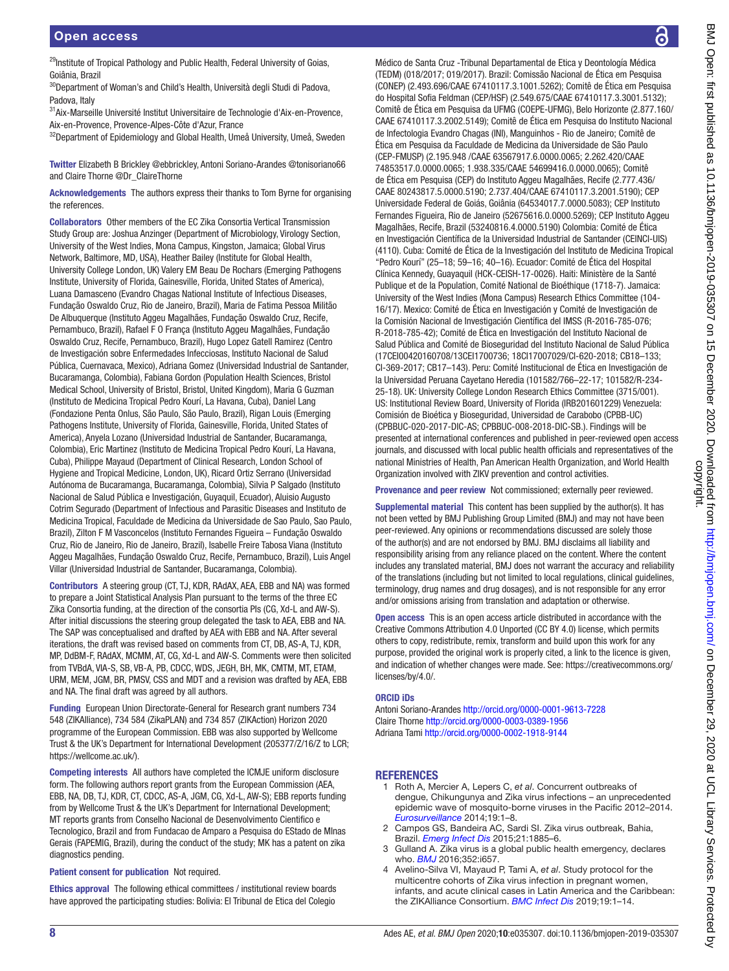<sup>29</sup>Institute of Tropical Pathology and Public Health, Federal University of Goias, Goiânia, Brazil

<sup>30</sup>Department of Woman's and Child's Health, Università degli Studi di Padova, Padova, Italy

31Aix-Marseille Université Institut Universitaire de Technologie d'Aix-en-Provence, Aix-en-Provence, Provence-Alpes-Côte d'Azur, France

<sup>32</sup>Department of Epidemiology and Global Health, Umeå University, Umeå, Sweden

Twitter Elizabeth B Brickley [@ebbrickley,](https://twitter.com/ebbrickley) Antoni Soriano-Arandes [@tonisoriano66](https://twitter.com/tonisoriano66) and Claire Thorne [@Dr\\_ClaireThorne](https://twitter.com/Dr_ClaireThorne)

Acknowledgements The authors express their thanks to Tom Byrne for organising the references.

Collaborators Other members of the EC Zika Consortia Vertical Transmission Study Group are: Joshua Anzinger (Department of Microbiology, Virology Section, University of the West Indies, Mona Campus, Kingston, Jamaica; Global Virus Network, Baltimore, MD, USA), Heather Bailey (Institute for Global Health, University College London, UK) Valery EM Beau De Rochars (Emerging Pathogens Institute, University of Florida, Gainesville, Florida, United States of America), Luana Damasceno (Evandro Chagas National Institute of Infectious Diseases, Fundação Oswaldo Cruz, Rio de Janeiro, Brazil), Maria de Fatima Pessoa Militão De Albuquerque (Instituto Aggeu Magalhães, Fundação Oswaldo Cruz, Recife, Pernambuco, Brazil), Rafael F O França (Instituto Aggeu Magalhães, Fundação Oswaldo Cruz, Recife, Pernambuco, Brazil), Hugo Lopez Gatell Ramirez (Centro de Investigación sobre Enfermedades Infecciosas, Instituto Nacional de Salud Pública, Cuernavaca, Mexico), Adriana Gomez (Universidad Industrial de Santander, Bucaramanga, Colombia), Fabiana Gordon (Population Health Sciences, Bristol Medical School, University of Bristol, Bristol, United Kingdom), Maria G Guzman (Instituto de Medicina Tropical Pedro Kourí, La Havana, Cuba), Daniel Lang (Fondazione Penta Onlus, São Paulo, São Paulo, Brazil), Rigan Louis (Emerging Pathogens Institute, University of Florida, Gainesville, Florida, United States of America), Anyela Lozano (Universidad Industrial de Santander, Bucaramanga, Colombia), Eric Martinez (Instituto de Medicina Tropical Pedro Kourí, La Havana, Cuba), Philippe Mayaud (Department of Clinical Research, London School of Hygiene and Tropical Medicine, London, UK), Ricard Ortiz Serrano (Universidad Autónoma de Bucaramanga, Bucaramanga, Colombia), Silvia P Salgado (Instituto Nacional de Salud Pública e Investigación, Guyaquil, Ecuador), Aluisio Augusto Cotrim Segurado (Department of Infectious and Parasitic Diseases and Instituto de Medicina Tropical, Faculdade de Medicina da Universidade de Sao Paulo, Sao Paulo, Brazil), Zilton F M Vasconcelos (Instituto Fernandes Figueira – Fundação Oswaldo Cruz, Rio de Janeiro, Rio de Janeiro, Brazil), Isabelle Freire Tabosa Viana (Instituto Aggeu Magalhães, Fundação Oswaldo Cruz, Recife, Pernambuco, Brazil), Luis Angel Villar (Universidad Industrial de Santander, Bucaramanga, Colombia).

Contributors A steering group (CT, TJ, KDR, RAdAX, AEA, EBB and NA) was formed to prepare a Joint Statistical Analysis Plan pursuant to the terms of the three EC Zika Consortia funding, at the direction of the consortia PIs (CG, Xd-L and AW-S). After initial discussions the steering group delegated the task to AEA, EBB and NA. The SAP was conceptualised and drafted by AEA with EBB and NA. After several iterations, the draft was revised based on comments from CT, DB, AS-A, TJ, KDR, MP, DdBM-F, RAdAX, MCMM, AT, CG, Xd-L and AW-S. Comments were then solicited from TVBdA, VIA-S, SB, VB-A, PB, CDCC, WDS, JEGH, BH, MK, CMTM, MT, ETAM, URM, MEM, JGM, BR, PMSV, CSS and MDT and a revision was drafted by AEA, EBB and NA. The final draft was agreed by all authors.

Funding European Union Directorate-General for Research grant numbers 734 548 (ZIKAlliance), 734 584 (ZikaPLAN) and 734 857 (ZIKAction) Horizon 2020 programme of the European Commission. EBB was also supported by Wellcome Trust & the UK's Department for International Development (205377/Z/16/Z to LCR; <https://wellcome.ac.uk/>).

Competing interests All authors have completed the ICMJE uniform disclosure form. The following authors report grants from the European Commission (AEA, EBB, NA, DB, TJ, KDR, CT, CDCC, AS-A, JGM, CG, Xd-L, AW-S); EBB reports funding from by Wellcome Trust & the UK's Department for International Development; MT reports grants from Conselho Nacional de Desenvolvimento Cientifico e Tecnologico, Brazil and from Fundacao de Amparo a Pesquisa do EStado de MInas Gerais (FAPEMIG, Brazil), during the conduct of the study; MK has a patent on zika diagnostics pending.

#### Patient consent for publication Not required.

Ethics approval The following ethical committees / institutional review boards have approved the participating studies: Bolivia: El Tribunal de Etica del Colegio

Médico de Santa Cruz -Tribunal Departamental de Etica y Deontología Médica (TEDM) (018/2017; 019/2017). Brazil: Comissão Nacional de Ética em Pesquisa (CONEP) (2.493.696/CAAE 67410117.3.1001.5262); Comitê de Ética em Pesquisa do Hospital Sofia Feldman (CEP/HSF) (2.549.675/CAAE 67410117.3.3001.5132); Comitê de Ética em Pesquisa da UFMG (COEPE-UFMG), Belo Horizonte (2.877.160/ CAAE 67410117.3.2002.5149); Comitê de Ética em Pesquisa do Instituto Nacional de Infectologia Evandro Chagas (INI), Manguinhos - Rio de Janeiro; Comitê de Ética em Pesquisa da Faculdade de Medicina da Universidade de São Paulo (CEP-FMUSP) (2.195.948 /CAAE 63567917.6.0000.0065; 2.262.420/CAAE 74853517.0.0000.0065; 1.938.335/CAAE 54699416.0.0000.0065); Comitê de Ética em Pesquisa (CEP) do Instituto Aggeu Magalhães, Recife (2.777.436/ CAAE 80243817.5.0000.5190; 2.737.404/CAAE 67410117.3.2001.5190); CEP Universidade Federal de Goiás, Goiânia (64534017.7.0000.5083); CEP Instituto Fernandes Figueira, Rio de Janeiro (52675616.0.0000.5269); CEP Instituto Aggeu Magalhães, Recife, Brazil (53240816.4.0000.5190) Colombia: Comité de Ética en Investigación Científica de la Universidad Industrial de Santander (CEINCI-UIS) (4110). Cuba: Comité de Ética de la Investigación del Instituto de Medicina Tropical "Pedro Kourí" (25–18; 59–16; 40–16). Ecuador: Comité de Ética del Hospital Clínica Kennedy, Guayaquil (HCK-CEISH-17-0026). Haiti: Ministère de la Santé Publique et de la Population, Comité National de Bioéthique (1718-7). Jamaica: University of the West Indies (Mona Campus) Research Ethics Committee (104- 16/17). Mexico: Comité de Ética en Investigación y Comité de Investigación de la Comisión Nacional de Investigación Científica del IMSS (R-2016-785-076; R-2018-785-42); Comité de Ética en Investigación del Instituto Nacional de Salud Pública and Comité de Bioseguridad del Instituto Nacional de Salud Pública (17CEI00420160708/13CEI1700736; 18CI17007029/CI-620-2018; CB18–133; CI-369-2017; CB17–143). Peru: Comité Institucional de Ética en Investigación de la Universidad Peruana Cayetano Heredia (101582/766–22-17; 101582/R-234- 25-18). UK: University College London Research Ethics Committee (3715/001). US: Institutional Review Board, University of Florida (IRB201601229) Venezuela: Comisión de Bioética y Bioseguridad, Universidad de Carabobo (CPBB-UC) (CPBBUC-020-2017-DIC-AS; CPBBUC-008-2018-DIC-SB.). Findings will be presented at international conferences and published in peer-reviewed open access journals, and discussed with local public health officials and representatives of the national Ministries of Health, Pan American Health Organization, and World Health Organization involved with ZIKV prevention and control activities.

Provenance and peer review Not commissioned; externally peer reviewed.

Supplemental material This content has been supplied by the author(s). It has not been vetted by BMJ Publishing Group Limited (BMJ) and may not have been peer-reviewed. Any opinions or recommendations discussed are solely those of the author(s) and are not endorsed by BMJ. BMJ disclaims all liability and responsibility arising from any reliance placed on the content. Where the content includes any translated material, BMJ does not warrant the accuracy and reliability of the translations (including but not limited to local regulations, clinical guidelines, terminology, drug names and drug dosages), and is not responsible for any error and/or omissions arising from translation and adaptation or otherwise.

Open access This is an open access article distributed in accordance with the Creative Commons Attribution 4.0 Unported (CC BY 4.0) license, which permits others to copy, redistribute, remix, transform and build upon this work for any purpose, provided the original work is properly cited, a link to the licence is given, and indication of whether changes were made. See: [https://creativecommons.org/](https://creativecommons.org/licenses/by/4.0/) [licenses/by/4.0/](https://creativecommons.org/licenses/by/4.0/).

#### ORCID iDs

Antoni Soriano-Arandes <http://orcid.org/0000-0001-9613-7228> Claire Thorne<http://orcid.org/0000-0003-0389-1956> Adriana Tami<http://orcid.org/0000-0002-1918-9144>

#### **REFERENCES**

- <span id="page-7-0"></span>1 Roth A, Mercier A, Lepers C, *et al*. Concurrent outbreaks of dengue, Chikungunya and Zika virus infections – an unprecedented epidemic wave of mosquito-borne viruses in the Pacific 2012–2014. *[Eurosurveillance](http://dx.doi.org/10.2807/1560-7917.ES2014.19.41.20929)* 2014;19:1–8.
- <span id="page-7-1"></span>2 Campos GS, Bandeira AC, Sardi SI. Zika virus outbreak, Bahia, Brazil. *[Emerg Infect Dis](http://dx.doi.org/10.3201/eid2110.150847)* 2015;21:1885–6.
- <span id="page-7-2"></span>Gulland A. Zika virus is a global public health emergency, declares who. *[BMJ](http://dx.doi.org/10.1136/bmj.i657)* 2016;352:i657.
- <span id="page-7-3"></span>4 Avelino-Silva VI, Mayaud P, Tami A, *et al*. Study protocol for the multicentre cohorts of Zika virus infection in pregnant women, infants, and acute clinical cases in Latin America and the Caribbean: the ZIKAlliance Consortium. *[BMC Infect Dis](http://dx.doi.org/10.1186/s12879-019-4685-9)* 2019;19:1–14.

ဥ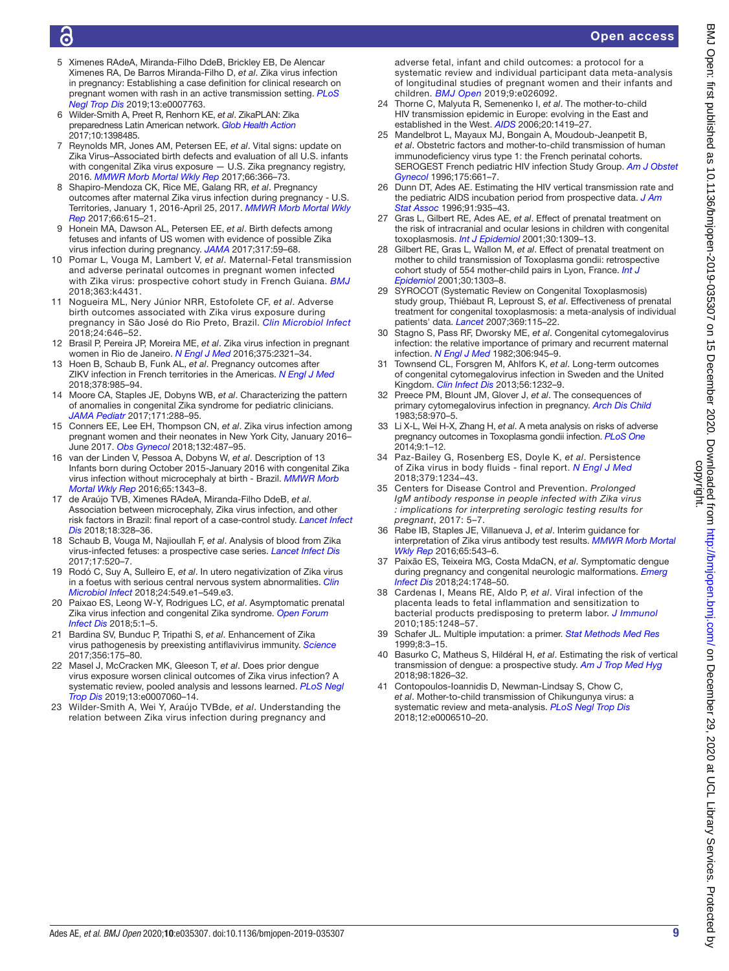- <span id="page-8-1"></span>7 Reynolds MR, Jones AM, Petersen EE, *et al*. Vital signs: update on Zika Virus–Associated birth defects and evaluation of all U.S. infants with congenital Zika virus exposure — U.S. Zika pregnancy registry, 2016. *[MMWR Morb Mortal Wkly Rep](http://dx.doi.org/10.15585/mmwr.mm6613e1)* 2017;66:366–73. 8 Shapiro-Mendoza CK, Rice ME, Galang RR, *et al*. Pregnancy
- outcomes after maternal Zika virus infection during pregnancy U.S. Territories, January 1, 2016-April 25, 2017. *[MMWR Morb Mortal Wkly](http://dx.doi.org/10.15585/mmwr.mm6623e1)  [Rep](http://dx.doi.org/10.15585/mmwr.mm6623e1)* 2017;66:615–21.
- 9 Honein MA, Dawson AL, Petersen EE, *et al*. Birth defects among fetuses and infants of US women with evidence of possible Zika virus infection during pregnancy. *[JAMA](http://dx.doi.org/10.1001/jama.2016.19006)* 2017;317:59–68.

5 Ximenes RAdeA, Miranda-Filho DdeB, Brickley EB, De Alencar Ximenes RA, De Barros Miranda-Filho D, *et al*. Zika virus infection in pregnancy: Establishing a case definition for clinical research on pregnant women with rash in an active transmission setting. *[PLoS](http://dx.doi.org/10.1371/journal.pntd.0007763)* 

<span id="page-8-0"></span>6 Wilder-Smith A, Preet R, Renhorn KE, *et al*. ZikaPLAN: Zika preparedness Latin American network. *[Glob Health Action](http://dx.doi.org/10.1080/16549716.2017.1398485)*

*[Negl Trop Dis](http://dx.doi.org/10.1371/journal.pntd.0007763)* 2019;13:e0007763.

2017;10:1398485.

- <span id="page-8-2"></span>10 Pomar L, Vouga M, Lambert V, *et al*. Maternal-Fetal transmission and adverse perinatal outcomes in pregnant women infected with Zika virus: prospective cohort study in French Guiana. *[BMJ](http://dx.doi.org/10.1136/bmj.k4431)* 2018;363:k4431.
- <span id="page-8-3"></span>11 Nogueira ML, Nery Júnior NRR, Estofolete CF, *et al*. Adverse birth outcomes associated with Zika virus exposure during pregnancy in São José do Rio Preto, Brazil. *[Clin Microbiol Infect](http://dx.doi.org/10.1016/j.cmi.2017.11.004)* 2018;24:646–52.
- <span id="page-8-4"></span>12 Brasil P, Pereira JP, Moreira ME, *et al*. Zika virus infection in pregnant women in Rio de Janeiro. *[N Engl J Med](http://dx.doi.org/10.1056/NEJMoa1602412)* 2016;375:2321–34.
- <span id="page-8-5"></span>13 Hoen B, Schaub B, Funk AL, *et al*. Pregnancy outcomes after ZIKV infection in French territories in the Americas. *[N Engl J Med](http://dx.doi.org/10.1056/NEJMoa1709481)* 2018;378:985–94.
- <span id="page-8-6"></span>14 Moore CA, Staples JE, Dobyns WB, *et al*. Characterizing the pattern of anomalies in congenital Zika syndrome for pediatric clinicians. *[JAMA Pediatr](http://dx.doi.org/10.1001/jamapediatrics.2016.3982)* 2017;171:288–95.
- <span id="page-8-7"></span>15 Conners EE, Lee EH, Thompson CN, *et al*. Zika virus infection among pregnant women and their neonates in New York City, January 2016– June 2017. *[Obs Gynecol](http://dx.doi.org/10.1097/AOG.0000000000002737)* 2018;132:487–95.
- <span id="page-8-8"></span>16 van der Linden V, Pessoa A, Dobyns W, *et al*. Description of 13 Infants born during October 2015-January 2016 with congenital Zika virus infection without microcephaly at birth - Brazil. *[MMWR Morb](http://dx.doi.org/10.15585/mmwr.mm6547e2)  [Mortal Wkly Rep](http://dx.doi.org/10.15585/mmwr.mm6547e2)* 2016;65:1343–8.
- 17 de Araújo TVB, Ximenes RAdeA, Miranda-Filho DdeB, *et al*. Association between microcephaly, Zika virus infection, and other risk factors in Brazil: final report of a case-control study. *[Lancet Infect](http://dx.doi.org/10.1016/S1473-3099(17)30727-2) [Dis](http://dx.doi.org/10.1016/S1473-3099(17)30727-2)* 2018;18:328–36.
- <span id="page-8-9"></span>18 Schaub B, Vouga M, Najioullah F, *et al*. Analysis of blood from Zika virus-infected fetuses: a prospective case series. *[Lancet Infect Dis](http://dx.doi.org/10.1016/S1473-3099(17)30102-0)* 2017;17:520–7.
- 19 Rodó C, Suy A, Sulleiro E, *et al*. In utero negativization of Zika virus in a foetus with serious central nervous system abnormalities. *[Clin](http://dx.doi.org/10.1016/j.cmi.2017.09.022)  [Microbiol Infect](http://dx.doi.org/10.1016/j.cmi.2017.09.022)* 2018;24:549.e1–549.e3.
- <span id="page-8-10"></span>20 Paixao ES, Leong W-Y, Rodrigues LC, *et al*. Asymptomatic prenatal Zika virus infection and congenital Zika syndrome. *[Open Forum](http://dx.doi.org/10.1093/ofid/ofy073)  [Infect Dis](http://dx.doi.org/10.1093/ofid/ofy073)* 2018;5:1–5.
- <span id="page-8-11"></span>21 Bardina SV, Bunduc P, Tripathi S, *et al*. Enhancement of Zika virus pathogenesis by preexisting antiflavivirus immunity. *[Science](http://dx.doi.org/10.1126/science.aal4365)* 2017;356:175–80.
- <span id="page-8-12"></span>22 Masel J, McCracken MK, Gleeson T, *et al*. Does prior dengue virus exposure worsen clinical outcomes of Zika virus infection? A systematic review, pooled analysis and lessons learned. *[PLoS Negl](http://dx.doi.org/10.1371/journal.pntd.0007060)  [Trop Dis](http://dx.doi.org/10.1371/journal.pntd.0007060)* 2019;13:e0007060–14.
- <span id="page-8-13"></span>23 Wilder-Smith A, Wei Y, Araújo TVBde, *et al*. Understanding the relation between Zika virus infection during pregnancy and

adverse fetal, infant and child outcomes: a protocol for a systematic review and individual participant data meta-analysis of longitudinal studies of pregnant women and their infants and children. *[BMJ Open](http://dx.doi.org/10.1136/bmjopen-2018-026092)* 2019;9:e026092.

- <span id="page-8-14"></span>24 Thorne C, Malyuta R, Semenenko I, *et al*. The mother-to-child HIV transmission epidemic in Europe: evolving in the East and established in the West. *[AIDS](http://dx.doi.org/10.1097/01.aids.0000233576.33973.b3)* 2006;20:1419–27.
- <span id="page-8-15"></span>25 Mandelbrot L, Mayaux MJ, Bongain A, Moudoub-Jeanpetit B, *et al*. Obstetric factors and mother-to-child transmission of human immunodeficiency virus type 1: the French perinatal cohorts. SEROGEST French pediatric HIV infection Study Group. *[Am J Obstet](http://dx.doi.org/10.1053/ob.1996.v175.a75478)  [Gynecol](http://dx.doi.org/10.1053/ob.1996.v175.a75478)* 1996;175:661–7.
- Dunn DT, Ades AE. Estimating the HIV vertical transmission rate and the pediatric AIDS incubation period from prospective data. *[J Am](http://dx.doi.org/10.1080/01621459.1996.10476963)  [Stat Assoc](http://dx.doi.org/10.1080/01621459.1996.10476963)* 1996;91:935–43.
- <span id="page-8-16"></span>Gras L, Gilbert RE, Ades AE, et al. Effect of prenatal treatment on the risk of intracranial and ocular lesions in children with congenital toxoplasmosis. *[Int J Epidemiol](http://dx.doi.org/10.1093/ije/30.6.1309)* 2001;30:1309–13.
- 28 Gilbert RE, Gras L, Wallon M, *et al*. Effect of prenatal treatment on mother to child transmission of Toxoplasma gondii: retrospective cohort study of 554 mother-child pairs in Lyon, France. *[Int J](http://dx.doi.org/10.1093/ije/30.6.1303)  [Epidemiol](http://dx.doi.org/10.1093/ije/30.6.1303)* 2001;30:1303–8.
- 29 SYROCOT (Systematic Review on Congenital Toxoplasmosis) study group, Thiébaut R, Leproust S, *et al*. Effectiveness of prenatal treatment for congenital toxoplasmosis: a meta-analysis of individual patients' data. *[Lancet](http://dx.doi.org/10.1016/S0140-6736(07)60072-5)* 2007;369:115–22.
- <span id="page-8-17"></span>30 Stagno S, Pass RF, Dworsky ME, *et al*. Congenital cytomegalovirus infection: the relative importance of primary and recurrent maternal infection. *[N Engl J Med](http://dx.doi.org/10.1056/NEJM198204223061601)* 1982;306:945–9.
- <span id="page-8-18"></span>31 Townsend CL, Forsgren M, Ahlfors K, *et al*. Long-term outcomes of congenital cytomegalovirus infection in Sweden and the United Kingdom. *[Clin Infect Dis](http://dx.doi.org/10.1093/cid/cit018)* 2013;56:1232–9.
- 32 Preece PM, Blount JM, Glover J, *et al*. The consequences of primary cytomegalovirus infection in pregnancy. *[Arch Dis Child](http://dx.doi.org/10.1136/adc.58.12.970)* 1983;58:970–5.
- <span id="page-8-19"></span>33 Li X-L, Wei H-X, Zhang H, *et al*. A meta analysis on risks of adverse pregnancy outcomes in Toxoplasma gondii infection. *[PLoS One](http://dx.doi.org/10.1371/journal.pone.0097775)* 2014;9:1–12.
- <span id="page-8-20"></span>34 Paz-Bailey G, Rosenberg ES, Doyle K, *et al*. Persistence of Zika virus in body fluids - final report. *[N Engl J Med](http://dx.doi.org/10.1056/NEJMoa1613108)* 2018;379:1234–43.
- <span id="page-8-21"></span>35 Centers for Disease Control and Prevention. *Prolonged IgM antibody response in people infected with Zika virus : implications for interpreting serologic testing results for pregnant*, 2017: 5–7.
- <span id="page-8-22"></span>36 Rabe IB, Staples JE, Villanueva J, *et al*. Interim guidance for interpretation of Zika virus antibody test results. *[MMWR Morb Mortal](http://dx.doi.org/10.15585/mmwr.mm6521e1)  [Wkly Rep](http://dx.doi.org/10.15585/mmwr.mm6521e1)* 2016;65:543–6.
- <span id="page-8-23"></span>37 Paixão ES, Teixeira MG, Costa MdaCN, *et al*. Symptomatic dengue during pregnancy and congenital neurologic malformations. *[Emerg](http://dx.doi.org/10.3201/eid2409.170361)  [Infect Dis](http://dx.doi.org/10.3201/eid2409.170361)* 2018;24:1748–50.
- <span id="page-8-24"></span>38 Cardenas I, Means RE, Aldo P, *et al*. Viral infection of the placenta leads to fetal inflammation and sensitization to bacterial products predisposing to preterm labor. *[J Immunol](http://dx.doi.org/10.4049/jimmunol.1000289)* 2010;185:1248–57.
- <span id="page-8-25"></span>39 Schafer JL. Multiple imputation: a primer. *[Stat Methods Med Res](http://dx.doi.org/10.1177/096228029900800102)* 1999;8:3–15.
- <span id="page-8-26"></span>40 Basurko C, Matheus S, Hildéral H, *et al*. Estimating the risk of vertical transmission of dengue: a prospective study. *[Am J Trop Med Hyg](http://dx.doi.org/10.4269/ajtmh.16-0794)* 2018;98:1826–32.
- 41 Contopoulos-Ioannidis D, Newman-Lindsay S, Chow C, *et al*. Mother-to-child transmission of Chikungunya virus: a systematic review and meta-analysis. *[PLoS Negl Trop Dis](http://dx.doi.org/10.1371/journal.pntd.0006510)* 2018;12:e0006510–20.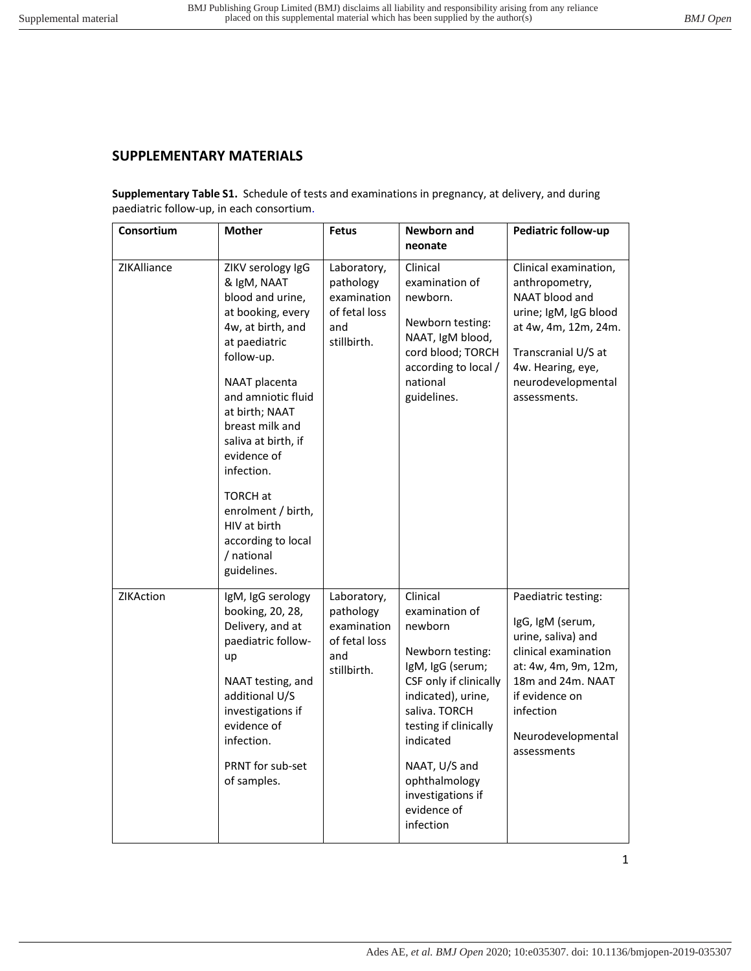# **SUPPLEMENTARY MATERIALS**

**Supplementary Table S1.** Schedule of tests and examinations in pregnancy, at delivery, and during paediatric follow-up, in each consortium.

| Consortium       | <b>Mother</b>                                                                                                                                                                                                                                                                                                                                                             | <b>Fetus</b>                                                                   | Newborn and<br>neonate                                                                                                                                                                                                                                                  | Pediatric follow-up                                                                                                                                                                                    |
|------------------|---------------------------------------------------------------------------------------------------------------------------------------------------------------------------------------------------------------------------------------------------------------------------------------------------------------------------------------------------------------------------|--------------------------------------------------------------------------------|-------------------------------------------------------------------------------------------------------------------------------------------------------------------------------------------------------------------------------------------------------------------------|--------------------------------------------------------------------------------------------------------------------------------------------------------------------------------------------------------|
| ZIKAlliance      | ZIKV serology IgG<br>& IgM, NAAT<br>blood and urine,<br>at booking, every<br>4w, at birth, and<br>at paediatric<br>follow-up.<br>NAAT placenta<br>and amniotic fluid<br>at birth; NAAT<br>breast milk and<br>saliva at birth, if<br>evidence of<br>infection.<br><b>TORCH at</b><br>enrolment / birth,<br>HIV at birth<br>according to local<br>/ national<br>guidelines. | Laboratory,<br>pathology<br>examination<br>of fetal loss<br>and<br>stillbirth. | Clinical<br>examination of<br>newborn.<br>Newborn testing:<br>NAAT, IgM blood,<br>cord blood; TORCH<br>according to local /<br>national<br>guidelines.                                                                                                                  | Clinical examination,<br>anthropometry,<br>NAAT blood and<br>urine; IgM, IgG blood<br>at 4w, 4m, 12m, 24m.<br>Transcranial U/S at<br>4w. Hearing, eye,<br>neurodevelopmental<br>assessments.           |
| <b>ZIKAction</b> | IgM, IgG serology<br>booking, 20, 28,<br>Delivery, and at<br>paediatric follow-<br>up<br>NAAT testing, and<br>additional U/S<br>investigations if<br>evidence of<br>infection.<br><b>PRNT</b> for sub-set<br>of samples.                                                                                                                                                  | Laboratory,<br>pathology<br>examination<br>of fetal loss<br>and<br>stillbirth. | Clinical<br>examination of<br>newborn<br>Newborn testing:<br>IgM, IgG (serum;<br>CSF only if clinically<br>indicated), urine,<br>saliva. TORCH<br>testing if clinically<br>indicated<br>NAAT, U/S and<br>ophthalmology<br>investigations if<br>evidence of<br>infection | Paediatric testing:<br>IgG, IgM (serum,<br>urine, saliva) and<br>clinical examination<br>at: 4w, 4m, 9m, 12m,<br>18m and 24m. NAAT<br>if evidence on<br>infection<br>Neurodevelopmental<br>assessments |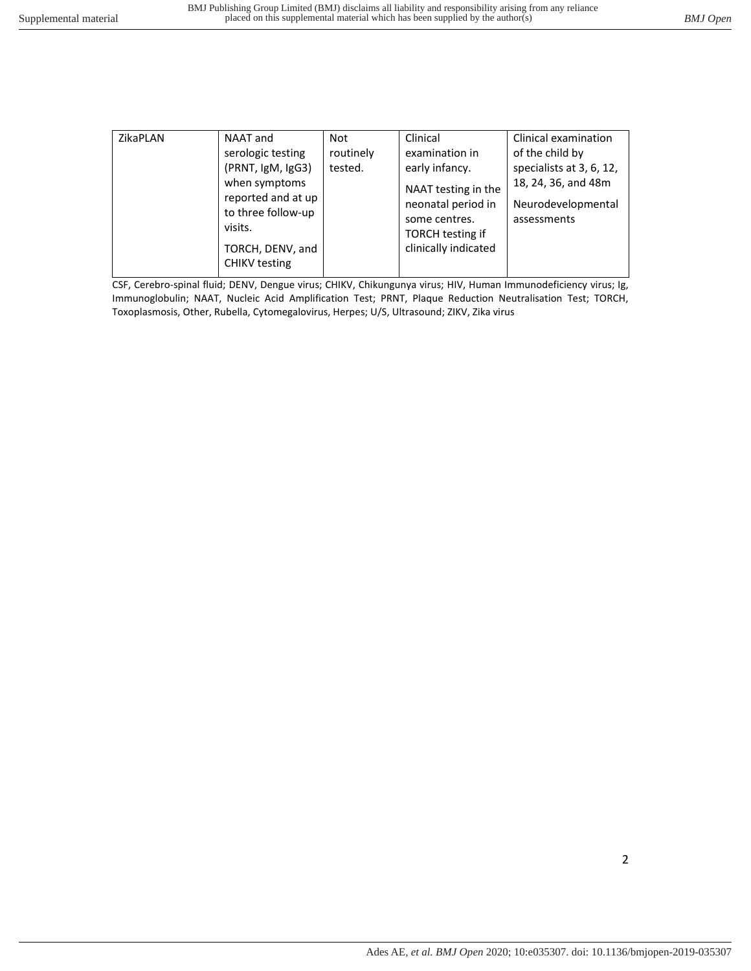| ZikaPLAN | NAAT and<br>serologic testing<br>(PRNT, IgM, IgG3)<br>when symptoms | Not<br>routinely<br>tested. | Clinical<br>examination in<br>early infancy.                                   | Clinical examination<br>of the child by<br>specialists at 3, 6, 12, |  |
|----------|---------------------------------------------------------------------|-----------------------------|--------------------------------------------------------------------------------|---------------------------------------------------------------------|--|
|          | reported and at up<br>to three follow-up<br>visits.                 |                             | NAAT testing in the<br>neonatal period in<br>some centres.<br>TORCH testing if | 18, 24, 36, and 48m<br>Neurodevelopmental<br>assessments            |  |
|          | TORCH, DENV, and<br><b>CHIKV</b> testing                            |                             | clinically indicated                                                           |                                                                     |  |

CSF, Cerebro-spinal fluid; DENV, Dengue virus; CHIKV, Chikungunya virus; HIV, Human Immunodeficiency virus; Ig, Immunoglobulin; NAAT, Nucleic Acid Amplification Test; PRNT, Plaque Reduction Neutralisation Test; TORCH, Toxoplasmosis, Other, Rubella, Cytomegalovirus, Herpes; U/S, Ultrasound; ZIKV, Zika virus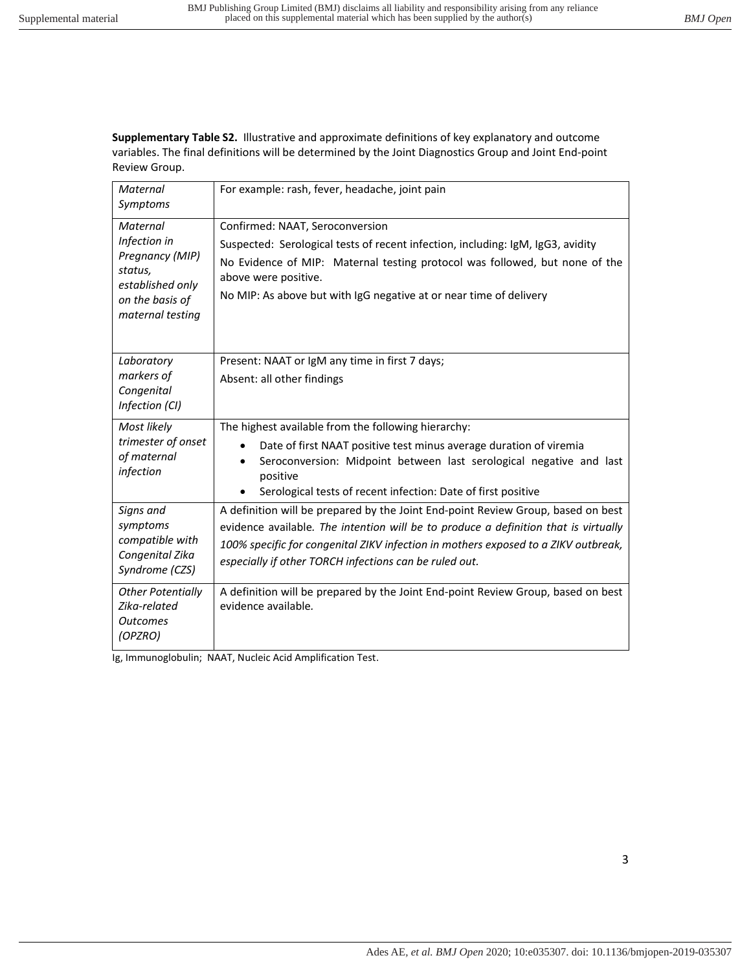**Supplementary Table S2.** Illustrative and approximate definitions of key explanatory and outcome variables. The final definitions will be determined by the Joint Diagnostics Group and Joint End-point Review Group.

| Maternal<br>Symptoms                                                                                              | For example: rash, fever, headache, joint pain                                                                                                                                                                                                                                                                          |
|-------------------------------------------------------------------------------------------------------------------|-------------------------------------------------------------------------------------------------------------------------------------------------------------------------------------------------------------------------------------------------------------------------------------------------------------------------|
| Maternal<br>Infection in<br>Pregnancy (MIP)<br>status,<br>established only<br>on the basis of<br>maternal testing | Confirmed: NAAT, Seroconversion<br>Suspected: Serological tests of recent infection, including: IgM, IgG3, avidity<br>No Evidence of MIP: Maternal testing protocol was followed, but none of the<br>above were positive.<br>No MIP: As above but with IgG negative at or near time of delivery                         |
| Laboratory<br>markers of<br>Congenital<br>Infection (CI)                                                          | Present: NAAT or IgM any time in first 7 days;<br>Absent: all other findings                                                                                                                                                                                                                                            |
| Most likely<br>trimester of onset<br>of maternal<br>infection                                                     | The highest available from the following hierarchy:<br>Date of first NAAT positive test minus average duration of viremia<br>Seroconversion: Midpoint between last serological negative and last<br>positive<br>Serological tests of recent infection: Date of first positive                                           |
| Signs and<br>symptoms<br>compatible with<br>Congenital Zika<br>Syndrome (CZS)                                     | A definition will be prepared by the Joint End-point Review Group, based on best<br>evidence available. The intention will be to produce a definition that is virtually<br>100% specific for congenital ZIKV infection in mothers exposed to a ZIKV outbreak,<br>especially if other TORCH infections can be ruled out. |
| <b>Other Potentially</b><br>Zika-related<br><b>Outcomes</b><br>(OPZRO)                                            | A definition will be prepared by the Joint End-point Review Group, based on best<br>evidence available.                                                                                                                                                                                                                 |

Ig, Immunoglobulin; NAAT, Nucleic Acid Amplification Test.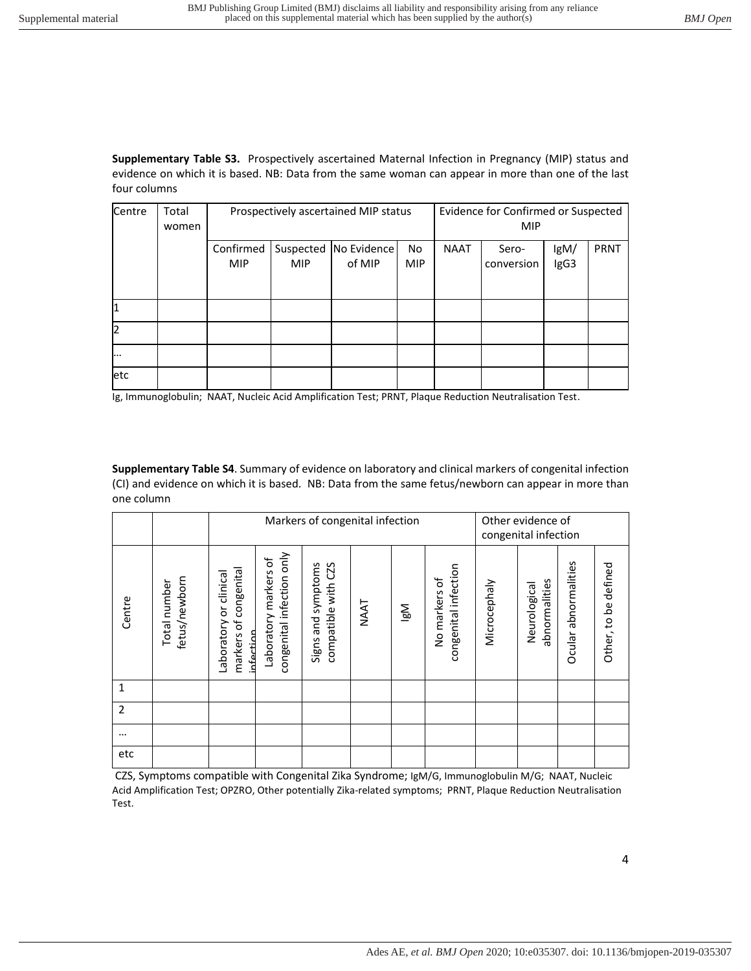**Supplementary Table S3.** Prospectively ascertained Maternal Infection in Pregnancy (MIP) status and evidence on which it is based. NB: Data from the same woman can appear in more than one of the last four columns

| Centre | Total<br>women |                         | Prospectively ascertained MIP status |                                   | Evidence for Confirmed or Suspected<br><b>MIP</b> |             |                     |              |             |
|--------|----------------|-------------------------|--------------------------------------|-----------------------------------|---------------------------------------------------|-------------|---------------------|--------------|-------------|
|        |                | Confirmed<br><b>MIP</b> | <b>MIP</b>                           | Suspected   No Evidence<br>of MIP | <b>No</b><br><b>MIP</b>                           | <b>NAAT</b> | Sero-<br>conversion | lgM/<br>IgG3 | <b>PRNT</b> |
|        |                |                         |                                      |                                   |                                                   |             |                     |              |             |
| 12     |                |                         |                                      |                                   |                                                   |             |                     |              |             |
| .      |                |                         |                                      |                                   |                                                   |             |                     |              |             |
| etc    |                |                         |                                      |                                   |                                                   |             |                     |              |             |

Ig, Immunoglobulin; NAAT, Nucleic Acid Amplification Test; PRNT, Plaque Reduction Neutralisation Test.

**Supplementary Table S4**. Summary of evidence on laboratory and clinical markers of congenital infection (CI) and evidence on which it is based. NB: Data from the same fetus/newborn can appear in more than one column

|          |                               | Markers of congenital infection                                 |                                                       |                                              |             |          |                                       | Other evidence of<br>congenital infection |                               |                      |                      |
|----------|-------------------------------|-----------------------------------------------------------------|-------------------------------------------------------|----------------------------------------------|-------------|----------|---------------------------------------|-------------------------------------------|-------------------------------|----------------------|----------------------|
| Centre   | fetus/newborn<br>Total number | congenital<br>Laboratory or clinical<br>markers of<br>infertion | congenital infection only<br>ъf<br>Laboratory markers | compatible with CZS<br>and symptoms<br>Signs | <b>NAAT</b> | <b>N</b> | congenital infection<br>No markers of | Microcephaly                              | abnormalities<br>Neurological | Ocular abnormalities | Other, to be defined |
| 1        |                               |                                                                 |                                                       |                                              |             |          |                                       |                                           |                               |                      |                      |
| 2        |                               |                                                                 |                                                       |                                              |             |          |                                       |                                           |                               |                      |                      |
| $\cdots$ |                               |                                                                 |                                                       |                                              |             |          |                                       |                                           |                               |                      |                      |
| etc      |                               |                                                                 |                                                       |                                              |             |          |                                       |                                           |                               |                      |                      |

 CZS, Symptoms compatible with Congenital Zika Syndrome; IgM/G, Immunoglobulin M/G; NAAT, Nucleic Acid Amplification Test; OPZRO, Other potentially Zika-related symptoms; PRNT, Plaque Reduction Neutralisation Test.